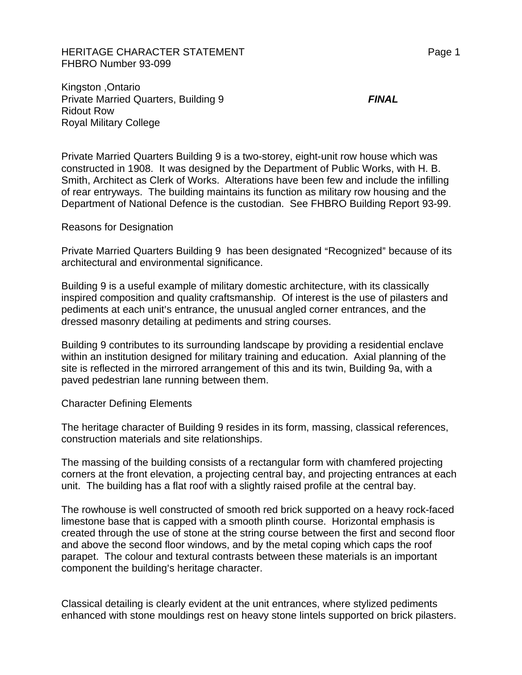HERITAGE CHARACTER STATEMENT FRAGGERAL Page 1 FHBRO Number 93-099

Kingston ,Ontario Private Married Quarters, Building 9 *FINAL* Ridout Row Royal Military College

Private Married Quarters Building 9 is a two-storey, eight-unit row house which was constructed in 1908. It was designed by the Department of Public Works, with H. B. Smith, Architect as Clerk of Works. Alterations have been few and include the infilling of rear entryways. The building maintains its function as military row housing and the Department of National Defence is the custodian. See FHBRO Building Report 93-99.

Reasons for Designation

Private Married Quarters Building 9 has been designated "Recognized" because of its architectural and environmental significance.

Building 9 is a useful example of military domestic architecture, with its classically inspired composition and quality craftsmanship. Of interest is the use of pilasters and pediments at each unit's entrance, the unusual angled corner entrances, and the dressed masonry detailing at pediments and string courses.

Building 9 contributes to its surrounding landscape by providing a residential enclave within an institution designed for military training and education. Axial planning of the site is reflected in the mirrored arrangement of this and its twin, Building 9a, with a paved pedestrian lane running between them.

## Character Defining Elements

The heritage character of Building 9 resides in its form, massing, classical references, construction materials and site relationships.

The massing of the building consists of a rectangular form with chamfered projecting corners at the front elevation, a projecting central bay, and projecting entrances at each unit. The building has a flat roof with a slightly raised profile at the central bay.

The rowhouse is well constructed of smooth red brick supported on a heavy rock-faced limestone base that is capped with a smooth plinth course. Horizontal emphasis is created through the use of stone at the string course between the first and second floor and above the second floor windows, and by the metal coping which caps the roof parapet. The colour and textural contrasts between these materials is an important component the building's heritage character.

Classical detailing is clearly evident at the unit entrances, where stylized pediments enhanced with stone mouldings rest on heavy stone lintels supported on brick pilasters.